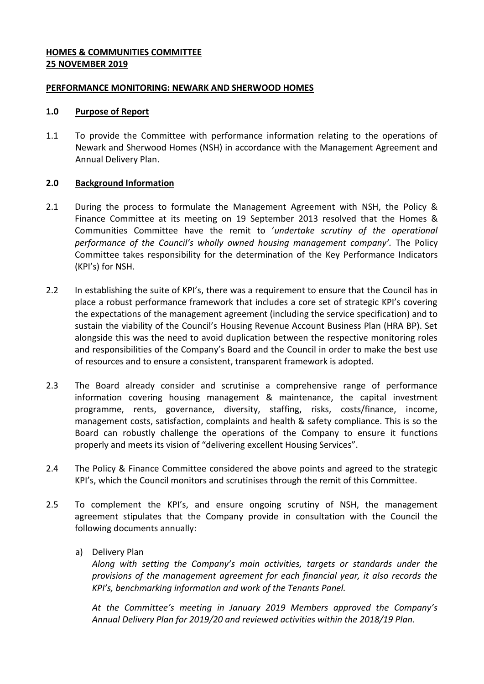## **HOMES & COMMUNITIES COMMITTEE 25 NOVEMBER 2019**

## **PERFORMANCE MONITORING: NEWARK AND SHERWOOD HOMES**

### **1.0 Purpose of Report**

1.1 To provide the Committee with performance information relating to the operations of Newark and Sherwood Homes (NSH) in accordance with the Management Agreement and Annual Delivery Plan.

## **2.0 Background Information**

- 2.1 During the process to formulate the Management Agreement with NSH, the Policy & Finance Committee at its meeting on 19 September 2013 resolved that the Homes & Communities Committee have the remit to '*undertake scrutiny of the operational performance of the Council's wholly owned housing management company'.* The Policy Committee takes responsibility for the determination of the Key Performance Indicators (KPI's) for NSH.
- 2.2 In establishing the suite of KPI's, there was a requirement to ensure that the Council has in place a robust performance framework that includes a core set of strategic KPI's covering the expectations of the management agreement (including the service specification) and to sustain the viability of the Council's Housing Revenue Account Business Plan (HRA BP). Set alongside this was the need to avoid duplication between the respective monitoring roles and responsibilities of the Company's Board and the Council in order to make the best use of resources and to ensure a consistent, transparent framework is adopted.
- 2.3 The Board already consider and scrutinise a comprehensive range of performance information covering housing management & maintenance, the capital investment programme, rents, governance, diversity, staffing, risks, costs/finance, income, management costs, satisfaction, complaints and health & safety compliance. This is so the Board can robustly challenge the operations of the Company to ensure it functions properly and meets its vision of "delivering excellent Housing Services".
- 2.4 The Policy & Finance Committee considered the above points and agreed to the strategic KPI's, which the Council monitors and scrutinises through the remit of this Committee.
- 2.5 To complement the KPI's, and ensure ongoing scrutiny of NSH, the management agreement stipulates that the Company provide in consultation with the Council the following documents annually:
	- a) Delivery Plan

*Along with setting the Company's main activities, targets or standards under the provisions of the management agreement for each financial year, it also records the KPI's, benchmarking information and work of the Tenants Panel.* 

*At the Committee's meeting in January 2019 Members approved the Company's Annual Delivery Plan for 2019/20 and reviewed activities within the 2018/19 Plan.*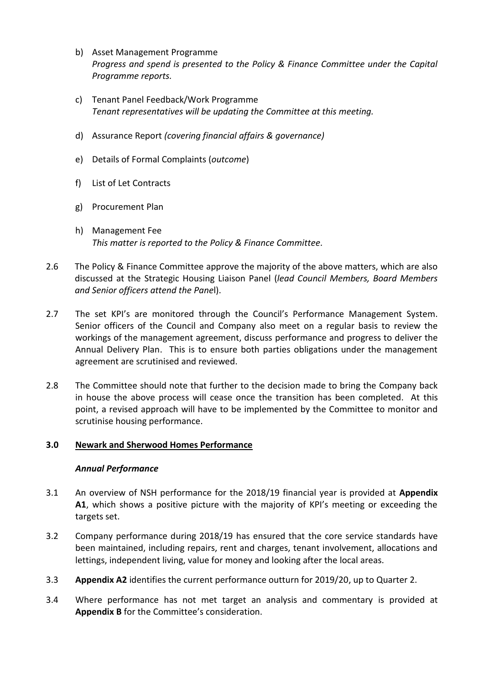- b) Asset Management Programme *Progress and spend is presented to the Policy & Finance Committee under the Capital Programme reports.*
- c) Tenant Panel Feedback/Work Programme *Tenant representatives will be updating the Committee at this meeting.*
- d) Assurance Report *(covering financial affairs & governance)*
- e) Details of Formal Complaints (*outcome*)
- f) List of Let Contracts
- g) Procurement Plan
- h) Management Fee *This matter is reported to the Policy & Finance Committee.*
- 2.6 The Policy & Finance Committee approve the majority of the above matters, which are also discussed at the Strategic Housing Liaison Panel (*lead Council Members, Board Members and Senior officers attend the Pane*l).
- 2.7 The set KPI's are monitored through the Council's Performance Management System. Senior officers of the Council and Company also meet on a regular basis to review the workings of the management agreement, discuss performance and progress to deliver the Annual Delivery Plan. This is to ensure both parties obligations under the management agreement are scrutinised and reviewed.
- 2.8 The Committee should note that further to the decision made to bring the Company back in house the above process will cease once the transition has been completed. At this point, a revised approach will have to be implemented by the Committee to monitor and scrutinise housing performance.

# **3.0 Newark and Sherwood Homes Performance**

# *Annual Performance*

- 3.1 An overview of NSH performance for the 2018/19 financial year is provided at **Appendix A1**, which shows a positive picture with the majority of KPI's meeting or exceeding the targets set.
- 3.2 Company performance during 2018/19 has ensured that the core service standards have been maintained, including repairs, rent and charges, tenant involvement, allocations and lettings, independent living, value for money and looking after the local areas.
- 3.3 **Appendix A2** identifies the current performance outturn for 2019/20, up to Quarter 2.
- 3.4 Where performance has not met target an analysis and commentary is provided at **Appendix B** for the Committee's consideration.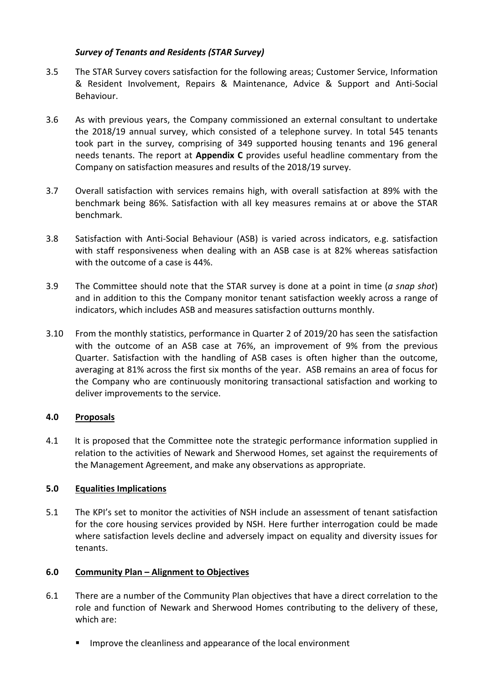# *Survey of Tenants and Residents (STAR Survey)*

- 3.5 The STAR Survey covers satisfaction for the following areas; Customer Service, Information & Resident Involvement, Repairs & Maintenance, Advice & Support and Anti-Social Behaviour.
- 3.6 As with previous years, the Company commissioned an external consultant to undertake the 2018/19 annual survey, which consisted of a telephone survey. In total 545 tenants took part in the survey, comprising of 349 supported housing tenants and 196 general needs tenants. The report at **Appendix C** provides useful headline commentary from the Company on satisfaction measures and results of the 2018/19 survey.
- 3.7 Overall satisfaction with services remains high, with overall satisfaction at 89% with the benchmark being 86%. Satisfaction with all key measures remains at or above the STAR benchmark.
- 3.8 Satisfaction with Anti-Social Behaviour (ASB) is varied across indicators, e.g. satisfaction with staff responsiveness when dealing with an ASB case is at 82% whereas satisfaction with the outcome of a case is 44%.
- 3.9 The Committee should note that the STAR survey is done at a point in time (*a snap shot*) and in addition to this the Company monitor tenant satisfaction weekly across a range of indicators, which includes ASB and measures satisfaction outturns monthly.
- 3.10 From the monthly statistics, performance in Quarter 2 of 2019/20 has seen the satisfaction with the outcome of an ASB case at 76%, an improvement of 9% from the previous Quarter. Satisfaction with the handling of ASB cases is often higher than the outcome, averaging at 81% across the first six months of the year. ASB remains an area of focus for the Company who are continuously monitoring transactional satisfaction and working to deliver improvements to the service.

## **4.0 Proposals**

4.1 It is proposed that the Committee note the strategic performance information supplied in relation to the activities of Newark and Sherwood Homes, set against the requirements of the Management Agreement, and make any observations as appropriate.

# **5.0 Equalities Implications**

5.1 The KPI's set to monitor the activities of NSH include an assessment of tenant satisfaction for the core housing services provided by NSH. Here further interrogation could be made where satisfaction levels decline and adversely impact on equality and diversity issues for tenants.

## **6.0 Community Plan – Alignment to Objectives**

- 6.1 There are a number of the Community Plan objectives that have a direct correlation to the role and function of Newark and Sherwood Homes contributing to the delivery of these, which are:
	- Improve the cleanliness and appearance of the local environment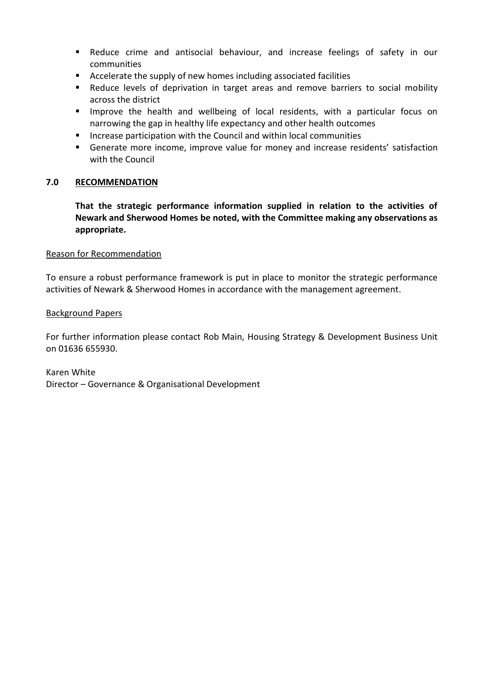- Reduce crime and antisocial behaviour, and increase feelings of safety in our communities
- Accelerate the supply of new homes including associated facilities
- Reduce levels of deprivation in target areas and remove barriers to social mobility across the district
- Improve the health and wellbeing of local residents, with a particular focus on narrowing the gap in healthy life expectancy and other health outcomes
- **Increase participation with the Council and within local communities**
- Generate more income, improve value for money and increase residents' satisfaction with the Council

## **7.0 RECOMMENDATION**

**That the strategic performance information supplied in relation to the activities of Newark and Sherwood Homes be noted, with the Committee making any observations as appropriate.**

### Reason for Recommendation

To ensure a robust performance framework is put in place to monitor the strategic performance activities of Newark & Sherwood Homes in accordance with the management agreement.

### Background Papers

For further information please contact Rob Main, Housing Strategy & Development Business Unit on 01636 655930.

Karen White Director – Governance & Organisational Development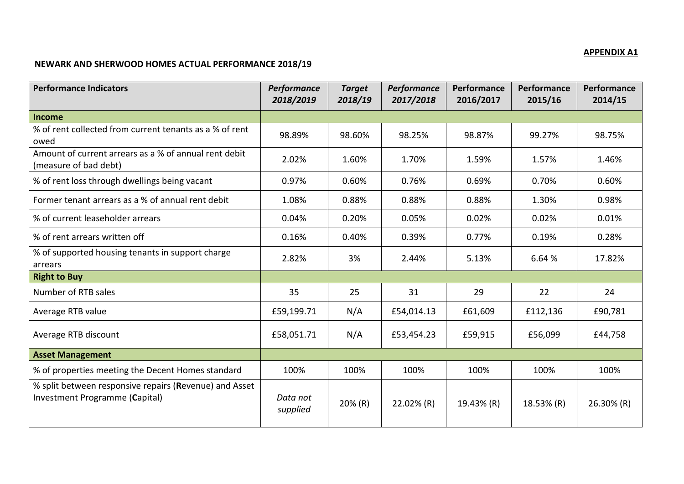# **APPENDIX A1**

# **NEWARK AND SHERWOOD HOMES ACTUAL PERFORMANCE 2018/19**

| <b>Performance Indicators</b>                                                            | Performance<br>2018/2019 | <b>Target</b><br>2018/19 | Performance<br>2017/2018 | Performance<br>2016/2017 | Performance<br>2015/16 | Performance<br>2014/15 |
|------------------------------------------------------------------------------------------|--------------------------|--------------------------|--------------------------|--------------------------|------------------------|------------------------|
| <b>Income</b>                                                                            |                          |                          |                          |                          |                        |                        |
| % of rent collected from current tenants as a % of rent<br>owed                          | 98.89%                   | 98.60%                   | 98.25%                   | 98.87%                   | 99.27%                 | 98.75%                 |
| Amount of current arrears as a % of annual rent debit<br>(measure of bad debt)           | 2.02%                    | 1.60%                    | 1.70%                    | 1.59%                    | 1.57%                  | 1.46%                  |
| % of rent loss through dwellings being vacant                                            | 0.97%                    | 0.60%                    | 0.76%                    | 0.69%                    | 0.70%                  | 0.60%                  |
| Former tenant arrears as a % of annual rent debit                                        | 1.08%                    | 0.88%                    | 0.88%                    | 0.88%                    | 1.30%                  | 0.98%                  |
| % of current leaseholder arrears                                                         | 0.04%                    | 0.20%                    | 0.05%                    | 0.02%                    | 0.02%                  | 0.01%                  |
| % of rent arrears written off                                                            | 0.16%                    | 0.40%                    | 0.39%                    | 0.77%                    | 0.19%                  | 0.28%                  |
| % of supported housing tenants in support charge<br>arrears                              | 2.82%                    | 3%                       | 2.44%                    | 5.13%                    | 6.64 %                 | 17.82%                 |
| <b>Right to Buy</b>                                                                      |                          |                          |                          |                          |                        |                        |
| Number of RTB sales                                                                      | 35                       | 25                       | 31                       | 29                       | 22                     | 24                     |
| Average RTB value                                                                        | £59,199.71               | N/A                      | £54,014.13               | £61,609                  | £112,136               | £90,781                |
| Average RTB discount                                                                     | £58,051.71               | N/A                      | £53,454.23               | £59,915                  | £56,099                | £44,758                |
| <b>Asset Management</b>                                                                  |                          |                          |                          |                          |                        |                        |
| % of properties meeting the Decent Homes standard                                        | 100%                     | 100%                     | 100%                     | 100%                     | 100%                   | 100%                   |
| % split between responsive repairs (Revenue) and Asset<br>Investment Programme (Capital) | Data not<br>supplied     | 20% (R)                  | 22.02% (R)               | 19.43% (R)               | 18.53% (R)             | 26.30% (R)             |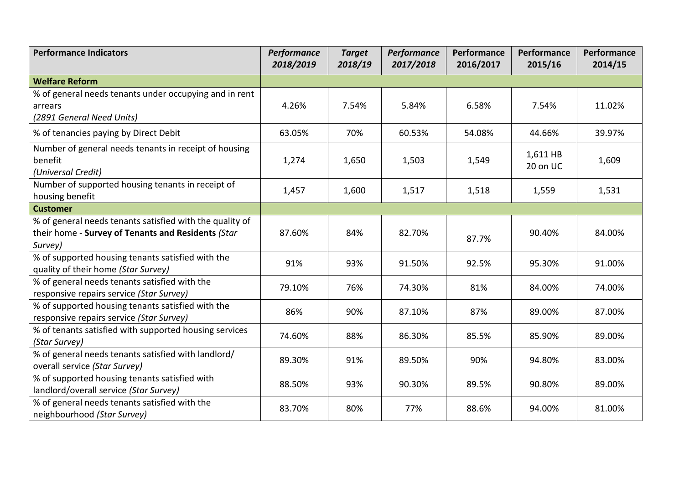| <b>Performance Indicators</b>                                                                                             | Performance<br>2018/2019 | <b>Target</b><br>2018/19 | Performance<br>2017/2018 | Performance<br>2016/2017 | Performance<br>2015/16 | Performance<br>2014/15 |
|---------------------------------------------------------------------------------------------------------------------------|--------------------------|--------------------------|--------------------------|--------------------------|------------------------|------------------------|
| <b>Welfare Reform</b>                                                                                                     |                          |                          |                          |                          |                        |                        |
| % of general needs tenants under occupying and in rent<br>arrears<br>(2891 General Need Units)                            | 4.26%                    | 7.54%                    | 5.84%                    | 6.58%                    | 7.54%                  | 11.02%                 |
| % of tenancies paying by Direct Debit                                                                                     | 63.05%                   | 70%                      | 60.53%                   | 54.08%                   | 44.66%                 | 39.97%                 |
| Number of general needs tenants in receipt of housing<br>benefit<br>(Universal Credit)                                    | 1,274                    | 1,650                    | 1,503                    | 1,549                    | 1,611 HB<br>20 on UC   | 1,609                  |
| Number of supported housing tenants in receipt of<br>housing benefit                                                      | 1,457                    | 1,600                    | 1,517                    | 1,518                    | 1,559                  | 1,531                  |
| <b>Customer</b>                                                                                                           |                          |                          |                          |                          |                        |                        |
| % of general needs tenants satisfied with the quality of<br>their home - Survey of Tenants and Residents (Star<br>Survey) | 87.60%                   | 84%                      | 82.70%                   | 87.7%                    | 90.40%                 | 84.00%                 |
| % of supported housing tenants satisfied with the<br>quality of their home (Star Survey)                                  | 91%                      | 93%                      | 91.50%                   | 92.5%                    | 95.30%                 | 91.00%                 |
| % of general needs tenants satisfied with the<br>responsive repairs service (Star Survey)                                 | 79.10%                   | 76%                      | 74.30%                   | 81%                      | 84.00%                 | 74.00%                 |
| % of supported housing tenants satisfied with the<br>responsive repairs service (Star Survey)                             | 86%                      | 90%                      | 87.10%                   | 87%                      | 89.00%                 | 87.00%                 |
| % of tenants satisfied with supported housing services<br>(Star Survey)                                                   | 74.60%                   | 88%                      | 86.30%                   | 85.5%                    | 85.90%                 | 89.00%                 |
| % of general needs tenants satisfied with landlord/<br>overall service (Star Survey)                                      | 89.30%                   | 91%                      | 89.50%                   | 90%                      | 94.80%                 | 83.00%                 |
| % of supported housing tenants satisfied with<br>landlord/overall service (Star Survey)                                   | 88.50%                   | 93%                      | 90.30%                   | 89.5%                    | 90.80%                 | 89.00%                 |
| % of general needs tenants satisfied with the<br>neighbourhood (Star Survey)                                              | 83.70%                   | 80%                      | 77%                      | 88.6%                    | 94.00%                 | 81.00%                 |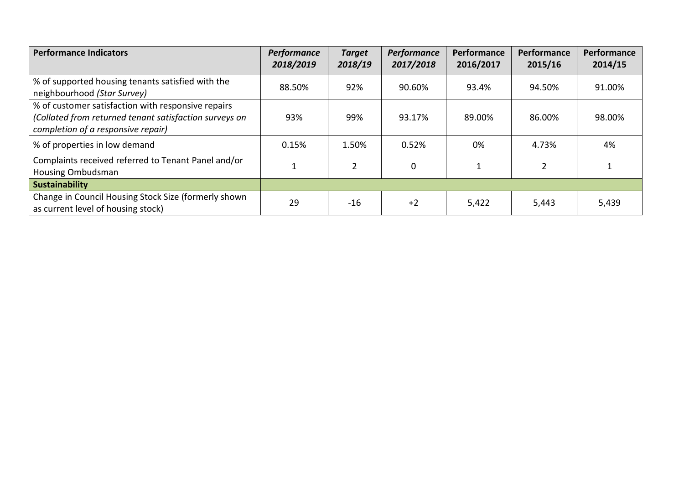| <b>Performance Indicators</b>                                                                                                                      | Performance<br>2018/2019 | <b>Target</b><br>2018/19 | Performance<br>2017/2018 | Performance<br>2016/2017 | Performance<br>2015/16 | Performance<br>2014/15 |
|----------------------------------------------------------------------------------------------------------------------------------------------------|--------------------------|--------------------------|--------------------------|--------------------------|------------------------|------------------------|
| % of supported housing tenants satisfied with the<br>neighbourhood (Star Survey)                                                                   | 88.50%                   | 92%                      | 90.60%                   | 93.4%                    | 94.50%                 | 91.00%                 |
| % of customer satisfaction with responsive repairs<br>(Collated from returned tenant satisfaction surveys on<br>completion of a responsive repair) | 93%                      | 99%                      | 93.17%                   | 89.00%                   | 86.00%                 | 98.00%                 |
| % of properties in low demand                                                                                                                      | 0.15%                    | 1.50%                    | 0.52%                    | 0%                       | 4.73%                  | 4%                     |
| Complaints received referred to Tenant Panel and/or<br>Housing Ombudsman                                                                           |                          | $\overline{2}$           | $\mathbf 0$              | 1                        | 2                      |                        |
| <b>Sustainability</b>                                                                                                                              |                          |                          |                          |                          |                        |                        |
| Change in Council Housing Stock Size (formerly shown<br>as current level of housing stock)                                                         | 29                       | $-16$                    | $+2$                     | 5,422                    | 5,443                  | 5,439                  |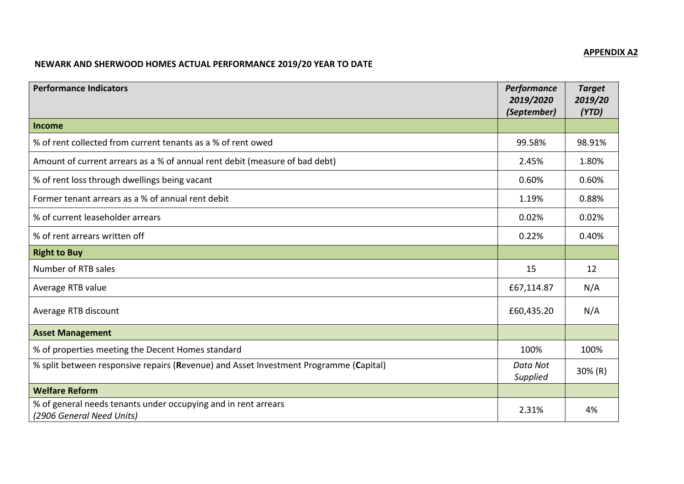# **APPENDIX A2**

# **NEWARK AND SHERWOOD HOMES ACTUAL PERFORMANCE 2019/20 YEAR TO DATE**

| <b>Performance Indicators</b>                                                               | Performance<br>2019/2020<br>(September) | <b>Target</b><br>2019/20<br>(YTD) |
|---------------------------------------------------------------------------------------------|-----------------------------------------|-----------------------------------|
| Income                                                                                      |                                         |                                   |
| % of rent collected from current tenants as a % of rent owed                                | 99.58%                                  | 98.91%                            |
| Amount of current arrears as a % of annual rent debit (measure of bad debt)                 | 2.45%                                   | 1.80%                             |
| % of rent loss through dwellings being vacant                                               | 0.60%                                   | 0.60%                             |
| Former tenant arrears as a % of annual rent debit                                           | 1.19%                                   | 0.88%                             |
| % of current leaseholder arrears                                                            | 0.02%                                   | 0.02%                             |
| % of rent arrears written off                                                               | 0.22%                                   | 0.40%                             |
| <b>Right to Buy</b>                                                                         |                                         |                                   |
| Number of RTB sales                                                                         | 15                                      | 12                                |
| Average RTB value                                                                           | £67,114.87                              | N/A                               |
| Average RTB discount                                                                        | £60,435.20                              | N/A                               |
| <b>Asset Management</b>                                                                     |                                         |                                   |
| % of properties meeting the Decent Homes standard                                           | 100%                                    | 100%                              |
| % split between responsive repairs (Revenue) and Asset Investment Programme (Capital)       | Data Not<br>Supplied                    | $30\%$ (R)                        |
| <b>Welfare Reform</b>                                                                       |                                         |                                   |
| % of general needs tenants under occupying and in rent arrears<br>(2906 General Need Units) | 2.31%                                   | 4%                                |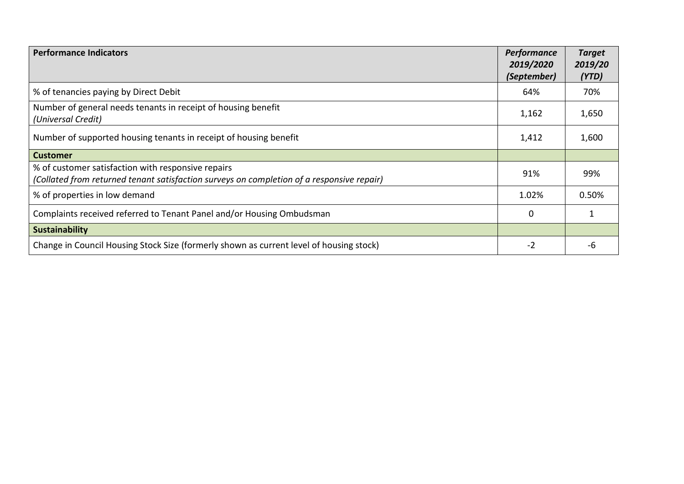| <b>Performance Indicators</b>                                                                                                                   | Performance<br>2019/2020<br>(September) | <b>Target</b><br>2019/20<br>(YTD) |
|-------------------------------------------------------------------------------------------------------------------------------------------------|-----------------------------------------|-----------------------------------|
| % of tenancies paying by Direct Debit                                                                                                           | 64%                                     | 70%                               |
| Number of general needs tenants in receipt of housing benefit<br>(Universal Credit)                                                             | 1,162                                   | 1,650                             |
| Number of supported housing tenants in receipt of housing benefit                                                                               | 1,412                                   | 1,600                             |
| <b>Customer</b>                                                                                                                                 |                                         |                                   |
| % of customer satisfaction with responsive repairs<br>(Collated from returned tenant satisfaction surveys on completion of a responsive repair) | 91%                                     | 99%                               |
| % of properties in low demand                                                                                                                   | 1.02%                                   | 0.50%                             |
| Complaints received referred to Tenant Panel and/or Housing Ombudsman                                                                           | 0                                       |                                   |
| <b>Sustainability</b>                                                                                                                           |                                         |                                   |
| Change in Council Housing Stock Size (formerly shown as current level of housing stock)                                                         | $-2$                                    | -6                                |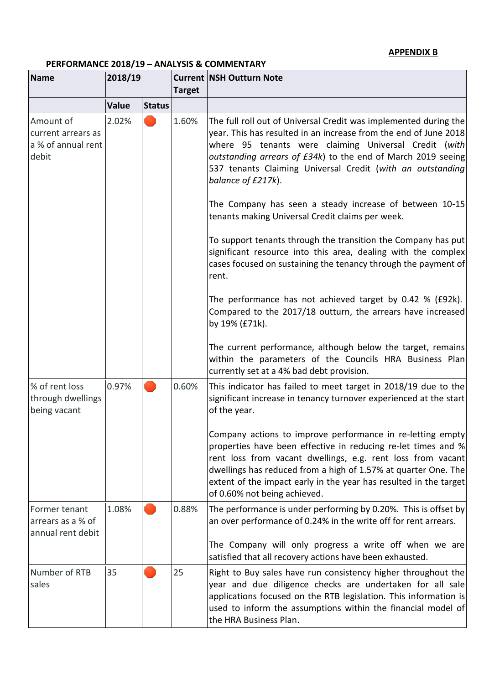## **APPENDIX B**

# **PERFORMANCE 2018/19 – ANALYSIS & COMMENTARY**

| <b>Name</b>                                                    | 2018/19 |               | <b>Target</b> | <b>Current   NSH Outturn Note</b>                                                                                                                                                                                                                                                                                                                                 |
|----------------------------------------------------------------|---------|---------------|---------------|-------------------------------------------------------------------------------------------------------------------------------------------------------------------------------------------------------------------------------------------------------------------------------------------------------------------------------------------------------------------|
|                                                                | Value   | <b>Status</b> |               |                                                                                                                                                                                                                                                                                                                                                                   |
| Amount of<br>current arrears as<br>a % of annual rent<br>debit | 2.02%   |               | 1.60%         | The full roll out of Universal Credit was implemented during the<br>year. This has resulted in an increase from the end of June 2018<br>where 95 tenants were claiming Universal Credit (with<br>outstanding arrears of £34k) to the end of March 2019 seeing<br>537 tenants Claiming Universal Credit (with an outstanding<br>balance of £217k).                 |
|                                                                |         |               |               | The Company has seen a steady increase of between 10-15<br>tenants making Universal Credit claims per week.                                                                                                                                                                                                                                                       |
|                                                                |         |               |               | To support tenants through the transition the Company has put<br>significant resource into this area, dealing with the complex<br>cases focused on sustaining the tenancy through the payment of<br>rent.                                                                                                                                                         |
|                                                                |         |               |               | The performance has not achieved target by 0.42 % (£92k).<br>Compared to the 2017/18 outturn, the arrears have increased<br>by 19% (£71k).                                                                                                                                                                                                                        |
|                                                                |         |               |               | The current performance, although below the target, remains<br>within the parameters of the Councils HRA Business Plan<br>currently set at a 4% bad debt provision.                                                                                                                                                                                               |
| % of rent loss<br>through dwellings<br>being vacant            | 0.97%   |               | 0.60%         | This indicator has failed to meet target in 2018/19 due to the<br>significant increase in tenancy turnover experienced at the start<br>of the year.                                                                                                                                                                                                               |
|                                                                |         |               |               | Company actions to improve performance in re-letting empty<br>properties have been effective in reducing re-let times and %<br>rent loss from vacant dwellings, e.g. rent loss from vacant<br>dwellings has reduced from a high of 1.57% at quarter One. The<br>extent of the impact early in the year has resulted in the target<br>of 0.60% not being achieved. |
| Former tenant<br>arrears as a % of<br>annual rent debit        | 1.08%   |               | 0.88%         | The performance is under performing by 0.20%. This is offset by<br>an over performance of 0.24% in the write off for rent arrears.                                                                                                                                                                                                                                |
|                                                                |         |               |               | The Company will only progress a write off when we are<br>satisfied that all recovery actions have been exhausted.                                                                                                                                                                                                                                                |
| Number of RTB<br>sales                                         | 35      |               | 25            | Right to Buy sales have run consistency higher throughout the<br>year and due diligence checks are undertaken for all sale<br>applications focused on the RTB legislation. This information is<br>used to inform the assumptions within the financial model of<br>the HRA Business Plan.                                                                          |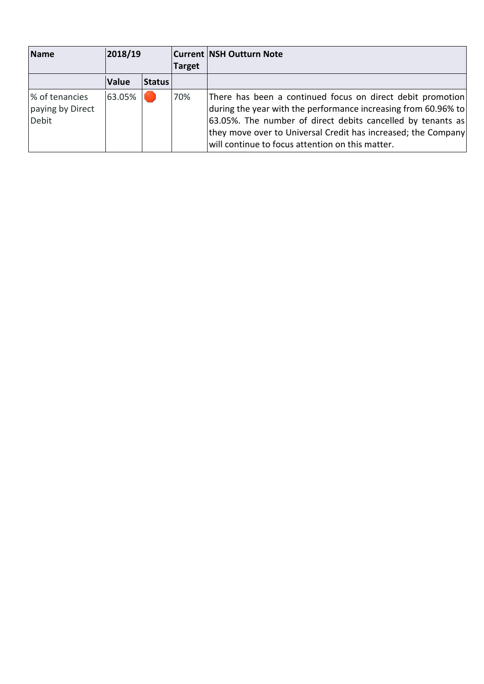| Name                                               | 2018/19      |               | <b>Target</b> | <b>Current NSH Outturn Note</b>                                                                                                                                                                                                                                                                                  |
|----------------------------------------------------|--------------|---------------|---------------|------------------------------------------------------------------------------------------------------------------------------------------------------------------------------------------------------------------------------------------------------------------------------------------------------------------|
|                                                    | <b>Value</b> | <b>Status</b> |               |                                                                                                                                                                                                                                                                                                                  |
| % of tenancies<br>paying by Direct<br><b>Debit</b> | 63.05%       |               | 70%           | There has been a continued focus on direct debit promotion<br>during the year with the performance increasing from 60.96% to<br>63.05%. The number of direct debits cancelled by tenants as<br>they move over to Universal Credit has increased; the Company<br>will continue to focus attention on this matter. |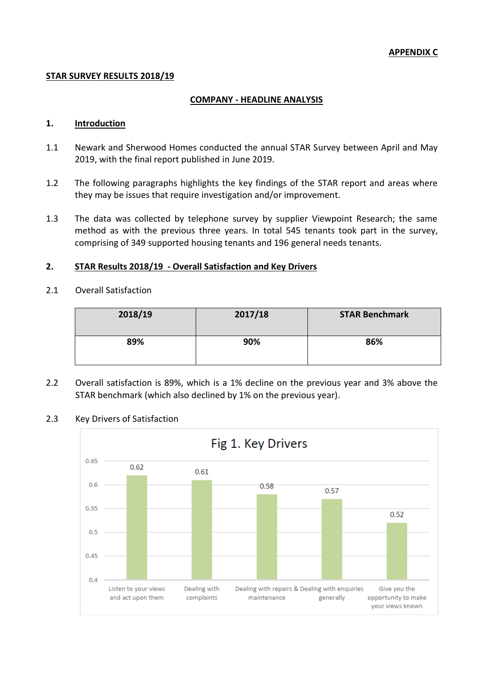### **STAR SURVEY RESULTS 2018/19**

### **COMPANY - HEADLINE ANALYSIS**

### **1. Introduction**

- 1.1 Newark and Sherwood Homes conducted the annual STAR Survey between April and May 2019, with the final report published in June 2019.
- 1.2 The following paragraphs highlights the key findings of the STAR report and areas where they may be issues that require investigation and/or improvement.
- 1.3 The data was collected by telephone survey by supplier Viewpoint Research; the same method as with the previous three years. In total 545 tenants took part in the survey, comprising of 349 supported housing tenants and 196 general needs tenants.

### **2. STAR Results 2018/19 - Overall Satisfaction and Key Drivers**

2.1 Overall Satisfaction

| 2018/19 | 2017/18 | <b>STAR Benchmark</b> |
|---------|---------|-----------------------|
| 89%     | 90%     | 86%                   |

2.2 Overall satisfaction is 89%, which is a 1% decline on the previous year and 3% above the STAR benchmark (which also declined by 1% on the previous year).

### 2.3 Key Drivers of Satisfaction

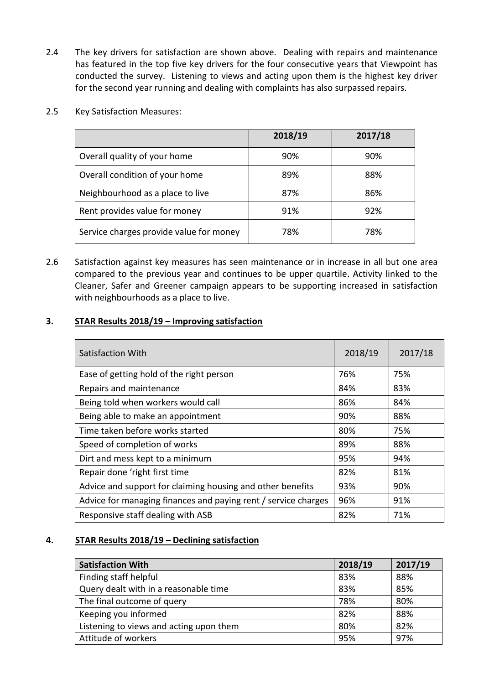- 2.4 The key drivers for satisfaction are shown above. Dealing with repairs and maintenance has featured in the top five key drivers for the four consecutive years that Viewpoint has conducted the survey. Listening to views and acting upon them is the highest key driver for the second year running and dealing with complaints has also surpassed repairs.
- 2.5 Key Satisfaction Measures:

|                                         | 2018/19 | 2017/18 |
|-----------------------------------------|---------|---------|
| Overall quality of your home            | 90%     | 90%     |
| Overall condition of your home          | 89%     | 88%     |
| Neighbourhood as a place to live        | 87%     | 86%     |
| Rent provides value for money           | 91%     | 92%     |
| Service charges provide value for money | 78%     | 78%     |

2.6 Satisfaction against key measures has seen maintenance or in increase in all but one area compared to the previous year and continues to be upper quartile. Activity linked to the Cleaner, Safer and Greener campaign appears to be supporting increased in satisfaction with neighbourhoods as a place to live.

## **3. STAR Results 2018/19 – Improving satisfaction**

| Satisfaction With                                              | 2018/19 | 2017/18 |
|----------------------------------------------------------------|---------|---------|
| Ease of getting hold of the right person                       | 76%     | 75%     |
| Repairs and maintenance                                        | 84%     | 83%     |
| Being told when workers would call                             | 86%     | 84%     |
| Being able to make an appointment                              | 90%     | 88%     |
| Time taken before works started                                | 80%     | 75%     |
| Speed of completion of works                                   | 89%     | 88%     |
| Dirt and mess kept to a minimum                                | 95%     | 94%     |
| Repair done 'right first time                                  | 82%     | 81%     |
| Advice and support for claiming housing and other benefits     | 93%     | 90%     |
| Advice for managing finances and paying rent / service charges | 96%     | 91%     |
| Responsive staff dealing with ASB                              | 82%     | 71%     |

## **4. STAR Results 2018/19 – Declining satisfaction**

| <b>Satisfaction With</b>                | 2018/19 | 2017/19 |
|-----------------------------------------|---------|---------|
| Finding staff helpful                   | 83%     | 88%     |
| Query dealt with in a reasonable time   | 83%     | 85%     |
| The final outcome of query              | 78%     | 80%     |
| Keeping you informed                    | 82%     | 88%     |
| Listening to views and acting upon them | 80%     | 82%     |
| Attitude of workers                     | 95%     | 97%     |